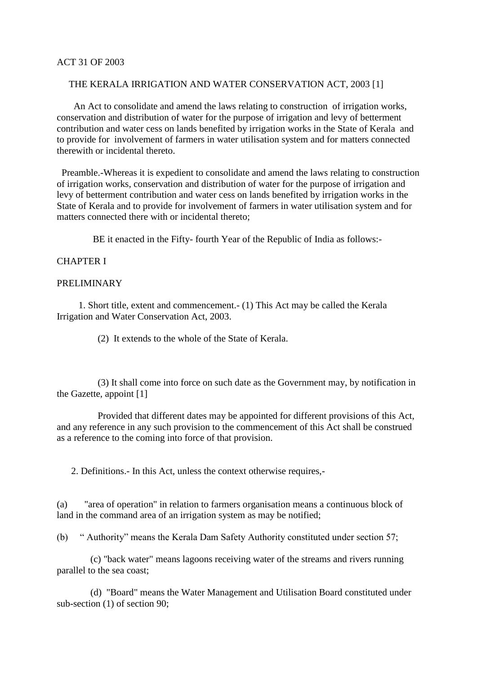## ACT 31 OF 2003

# THE KERALA IRRIGATION AND WATER CONSERVATION ACT, 2003 [1]

 An Act to consolidate and amend the laws relating to construction of irrigation works, conservation and distribution of water for the purpose of irrigation and levy of betterment contribution and water cess on lands benefited by irrigation works in the State of Kerala and to provide for involvement of farmers in water utilisation system and for matters connected therewith or incidental thereto.

 Preamble.-Whereas it is expedient to consolidate and amend the laws relating to construction of irrigation works, conservation and distribution of water for the purpose of irrigation and levy of betterment contribution and water cess on lands benefited by irrigation works in the State of Kerala and to provide for involvement of farmers in water utilisation system and for matters connected there with or incidental thereto;

BE it enacted in the Fifty- fourth Year of the Republic of India as follows:-

## CHAPTER I

## PRELIMINARY

 1. Short title, extent and commencement.- (1) This Act may be called the Kerala Irrigation and Water Conservation Act, 2003.

(2) It extends to the whole of the State of Kerala.

 (3) It shall come into force on such date as the Government may, by notification in the Gazette, appoint [1]

 Provided that different dates may be appointed for different provisions of this Act, and any reference in any such provision to the commencement of this Act shall be construed as a reference to the coming into force of that provision.

2. Definitions.- In this Act, unless the context otherwise requires,-

(a) "area of operation" in relation to farmers organisation means a continuous block of land in the command area of an irrigation system as may be notified;

(b) " Authority" means the Kerala Dam Safety Authority constituted under section 57;

 (c) "back water" means lagoons receiving water of the streams and rivers running parallel to the sea coast;

 (d) "Board" means the Water Management and Utilisation Board constituted under sub-section (1) of section 90;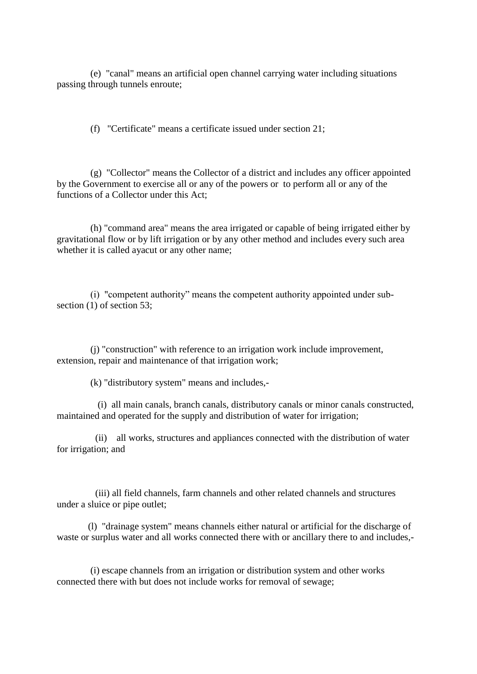(e) "canal" means an artificial open channel carrying water including situations passing through tunnels enroute;

(f) "Certificate" means a certificate issued under section 21;

 (g) "Collector" means the Collector of a district and includes any officer appointed by the Government to exercise all or any of the powers or to perform all or any of the functions of a Collector under this Act;

 (h) "command area" means the area irrigated or capable of being irrigated either by gravitational flow or by lift irrigation or by any other method and includes every such area whether it is called ayacut or any other name;

 (i) "competent authority" means the competent authority appointed under subsection (1) of section 53;

 (j) "construction" with reference to an irrigation work include improvement, extension, repair and maintenance of that irrigation work;

(k) "distributory system" means and includes,-

 (i) all main canals, branch canals, distributory canals or minor canals constructed, maintained and operated for the supply and distribution of water for irrigation;

 (ii) all works, structures and appliances connected with the distribution of water for irrigation; and

 (iii) all field channels, farm channels and other related channels and structures under a sluice or pipe outlet;

 (l) "drainage system" means channels either natural or artificial for the discharge of waste or surplus water and all works connected there with or ancillary there to and includes,-

 (i) escape channels from an irrigation or distribution system and other works connected there with but does not include works for removal of sewage;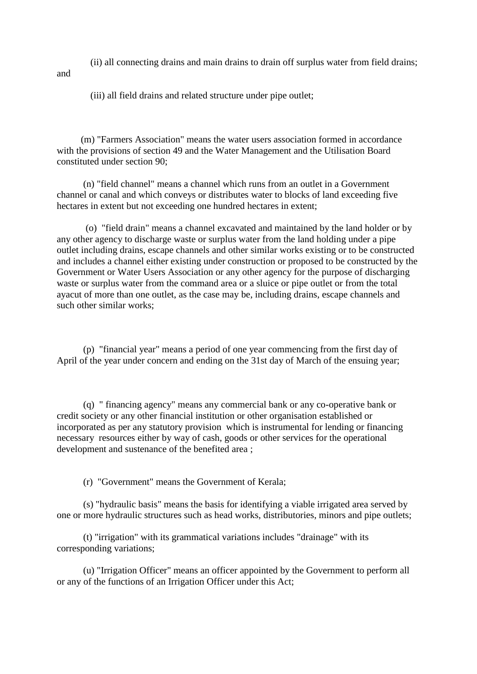(ii) all connecting drains and main drains to drain off surplus water from field drains;

and

(iii) all field drains and related structure under pipe outlet;

 (m) "Farmers Association" means the water users association formed in accordance with the provisions of section 49 and the Water Management and the Utilisation Board constituted under section 90;

 (n) "field channel" means a channel which runs from an outlet in a Government channel or canal and which conveys or distributes water to blocks of land exceeding five hectares in extent but not exceeding one hundred hectares in extent;

 (o) "field drain" means a channel excavated and maintained by the land holder or by any other agency to discharge waste or surplus water from the land holding under a pipe outlet including drains, escape channels and other similar works existing or to be constructed and includes a channel either existing under construction or proposed to be constructed by the Government or Water Users Association or any other agency for the purpose of discharging waste or surplus water from the command area or a sluice or pipe outlet or from the total ayacut of more than one outlet, as the case may be, including drains, escape channels and such other similar works;

 (p) "financial year" means a period of one year commencing from the first day of April of the year under concern and ending on the 31st day of March of the ensuing year;

 (q) " financing agency" means any commercial bank or any co-operative bank or credit society or any other financial institution or other organisation established or incorporated as per any statutory provision which is instrumental for lending or financing necessary resources either by way of cash, goods or other services for the operational development and sustenance of the benefited area ;

(r) "Government" means the Government of Kerala;

 (s) "hydraulic basis" means the basis for identifying a viable irrigated area served by one or more hydraulic structures such as head works, distributories, minors and pipe outlets;

 (t) "irrigation" with its grammatical variations includes "drainage" with its corresponding variations;

 (u) "Irrigation Officer" means an officer appointed by the Government to perform all or any of the functions of an Irrigation Officer under this Act;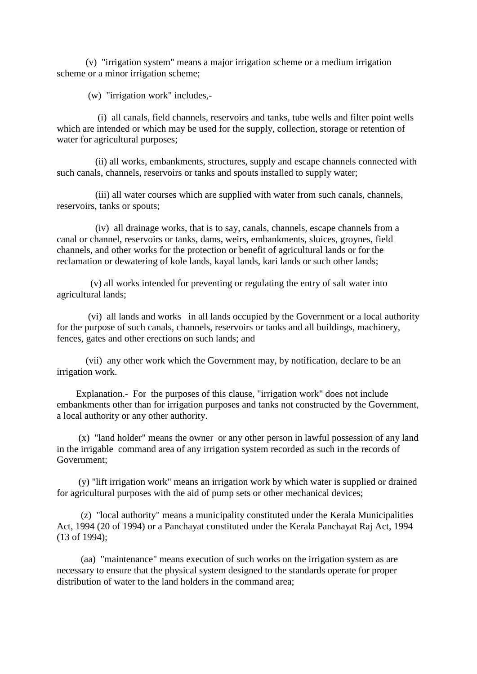(v) "irrigation system" means a major irrigation scheme or a medium irrigation scheme or a minor irrigation scheme;

(w) "irrigation work" includes,-

 (i) all canals, field channels, reservoirs and tanks, tube wells and filter point wells which are intended or which may be used for the supply, collection, storage or retention of water for agricultural purposes;

 (ii) all works, embankments, structures, supply and escape channels connected with such canals, channels, reservoirs or tanks and spouts installed to supply water;

 (iii) all water courses which are supplied with water from such canals, channels, reservoirs, tanks or spouts;

 (iv) all drainage works, that is to say, canals, channels, escape channels from a canal or channel, reservoirs or tanks, dams, weirs, embankments, sluices, groynes, field channels, and other works for the protection or benefit of agricultural lands or for the reclamation or dewatering of kole lands, kayal lands, kari lands or such other lands;

 (v) all works intended for preventing or regulating the entry of salt water into agricultural lands;

 (vi) all lands and works in all lands occupied by the Government or a local authority for the purpose of such canals, channels, reservoirs or tanks and all buildings, machinery, fences, gates and other erections on such lands; and

 (vii) any other work which the Government may, by notification, declare to be an irrigation work.

 Explanation.- For the purposes of this clause, "irrigation work" does not include embankments other than for irrigation purposes and tanks not constructed by the Government, a local authority or any other authority.

 (x) "land holder" means the owner or any other person in lawful possession of any land in the irrigable command area of any irrigation system recorded as such in the records of Government;

 (y) "lift irrigation work" means an irrigation work by which water is supplied or drained for agricultural purposes with the aid of pump sets or other mechanical devices;

 (z) "local authority" means a municipality constituted under the Kerala Municipalities Act, 1994 (20 of 1994) or a Panchayat constituted under the Kerala Panchayat Raj Act, 1994 (13 of 1994);

 (aa) "maintenance" means execution of such works on the irrigation system as are necessary to ensure that the physical system designed to the standards operate for proper distribution of water to the land holders in the command area;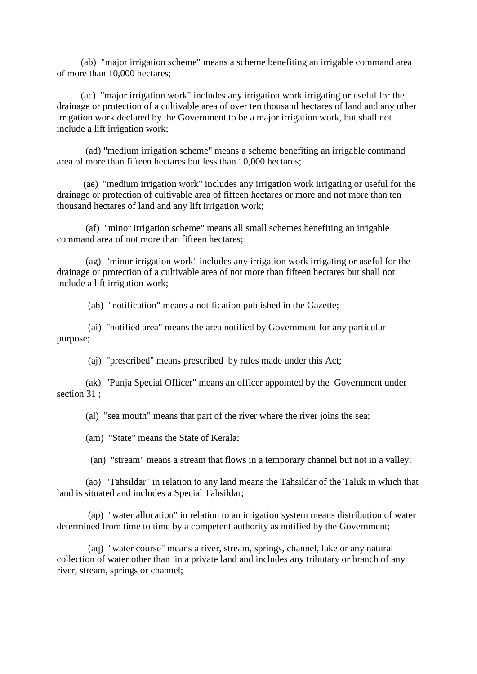(ab) "major irrigation scheme" means a scheme benefiting an irrigable command area of more than 10,000 hectares;

 (ac) "major irrigation work" includes any irrigation work irrigating or useful for the drainage or protection of a cultivable area of over ten thousand hectares of land and any other irrigation work declared by the Government to be a major irrigation work, but shall not include a lift irrigation work;

 (ad) "medium irrigation scheme" means a scheme benefiting an irrigable command area of more than fifteen hectares but less than 10,000 hectares;

 (ae) "medium irrigation work" includes any irrigation work irrigating or useful for the drainage or protection of cultivable area of fifteen hectares or more and not more than ten thousand hectares of land and any lift irrigation work;

 (af) "minor irrigation scheme" means all small schemes benefiting an irrigable command area of not more than fifteen hectares;

 (ag) "minor irrigation work" includes any irrigation work irrigating or useful for the drainage or protection of a cultivable area of not more than fifteen hectares but shall not include a lift irrigation work;

(ah) "notification" means a notification published in the Gazette;

 (ai) "notified area" means the area notified by Government for any particular purpose;

(aj) "prescribed" means prescribed by rules made under this Act;

 (ak) "Punja Special Officer" means an officer appointed by the Government under section 31 ;

(al) "sea mouth" means that part of the river where the river joins the sea;

(am) "State" means the State of Kerala;

(an) "stream" means a stream that flows in a temporary channel but not in a valley;

 (ao) "Tahsildar" in relation to any land means the Tahsildar of the Taluk in which that land is situated and includes a Special Tahsildar;

 (ap) "water allocation" in relation to an irrigation system means distribution of water determined from time to time by a competent authority as notified by the Government;

 (aq) "water course" means a river, stream, springs, channel, lake or any natural collection of water other than in a private land and includes any tributary or branch of any river, stream, springs or channel;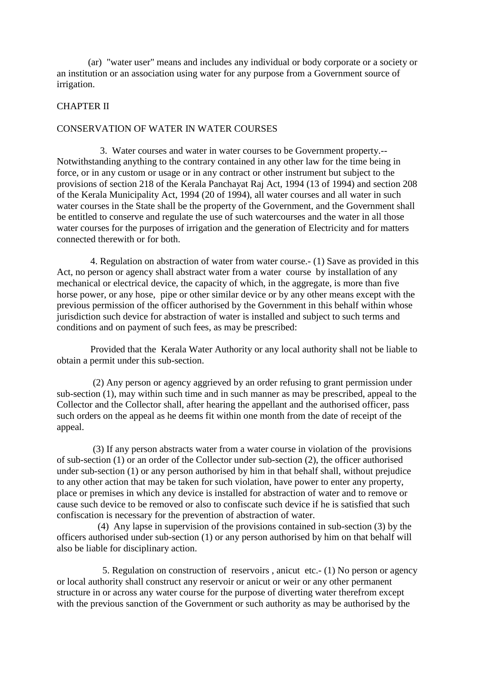(ar) "water user" means and includes any individual or body corporate or a society or an institution or an association using water for any purpose from a Government source of irrigation.

#### CHAPTER II

#### CONSERVATION OF WATER IN WATER COURSES

 3. Water courses and water in water courses to be Government property.-- Notwithstanding anything to the contrary contained in any other law for the time being in force, or in any custom or usage or in any contract or other instrument but subject to the provisions of section 218 of the Kerala Panchayat Raj Act, 1994 (13 of 1994) and section 208 of the Kerala Municipality Act, 1994 (20 of 1994), all water courses and all water in such water courses in the State shall be the property of the Government, and the Government shall be entitled to conserve and regulate the use of such watercourses and the water in all those water courses for the purposes of irrigation and the generation of Electricity and for matters connected therewith or for both.

 4. Regulation on abstraction of water from water course.- (1) Save as provided in this Act, no person or agency shall abstract water from a water course by installation of any mechanical or electrical device, the capacity of which, in the aggregate, is more than five horse power, or any hose, pipe or other similar device or by any other means except with the previous permission of the officer authorised by the Government in this behalf within whose jurisdiction such device for abstraction of water is installed and subject to such terms and conditions and on payment of such fees, as may be prescribed:

 Provided that the Kerala Water Authority or any local authority shall not be liable to obtain a permit under this sub-section.

 (2) Any person or agency aggrieved by an order refusing to grant permission under sub-section (1), may within such time and in such manner as may be prescribed, appeal to the Collector and the Collector shall, after hearing the appellant and the authorised officer, pass such orders on the appeal as he deems fit within one month from the date of receipt of the appeal.

 (3) If any person abstracts water from a water course in violation of the provisions of sub-section (1) or an order of the Collector under sub-section (2), the officer authorised under sub-section (1) or any person authorised by him in that behalf shall, without prejudice to any other action that may be taken for such violation, have power to enter any property, place or premises in which any device is installed for abstraction of water and to remove or cause such device to be removed or also to confiscate such device if he is satisfied that such confiscation is necessary for the prevention of abstraction of water.

 (4) Any lapse in supervision of the provisions contained in sub-section (3) by the officers authorised under sub-section (1) or any person authorised by him on that behalf will also be liable for disciplinary action.

 5. Regulation on construction of reservoirs , anicut etc.- (1) No person or agency or local authority shall construct any reservoir or anicut or weir or any other permanent structure in or across any water course for the purpose of diverting water therefrom except with the previous sanction of the Government or such authority as may be authorised by the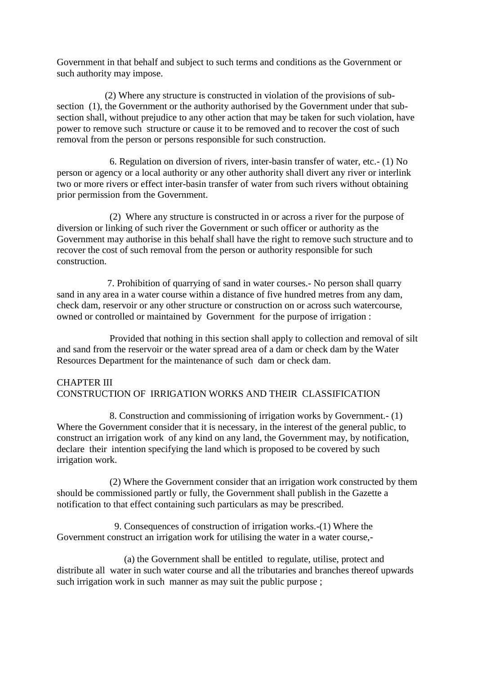Government in that behalf and subject to such terms and conditions as the Government or such authority may impose.

 (2) Where any structure is constructed in violation of the provisions of subsection (1), the Government or the authority authorised by the Government under that subsection shall, without prejudice to any other action that may be taken for such violation, have power to remove such structure or cause it to be removed and to recover the cost of such removal from the person or persons responsible for such construction.

 6. Regulation on diversion of rivers, inter-basin transfer of water, etc.- (1) No person or agency or a local authority or any other authority shall divert any river or interlink two or more rivers or effect inter-basin transfer of water from such rivers without obtaining prior permission from the Government.

 (2) Where any structure is constructed in or across a river for the purpose of diversion or linking of such river the Government or such officer or authority as the Government may authorise in this behalf shall have the right to remove such structure and to recover the cost of such removal from the person or authority responsible for such construction.

 7. Prohibition of quarrying of sand in water courses.- No person shall quarry sand in any area in a water course within a distance of five hundred metres from any dam, check dam, reservoir or any other structure or construction on or across such watercourse, owned or controlled or maintained by Government for the purpose of irrigation :

 Provided that nothing in this section shall apply to collection and removal of silt and sand from the reservoir or the water spread area of a dam or check dam by the Water Resources Department for the maintenance of such dam or check dam.

# CHAPTER III CONSTRUCTION OF IRRIGATION WORKS AND THEIR CLASSIFICATION

 8. Construction and commissioning of irrigation works by Government.- (1) Where the Government consider that it is necessary, in the interest of the general public, to construct an irrigation work of any kind on any land, the Government may, by notification, declare their intention specifying the land which is proposed to be covered by such irrigation work.

 (2) Where the Government consider that an irrigation work constructed by them should be commissioned partly or fully, the Government shall publish in the Gazette a notification to that effect containing such particulars as may be prescribed.

 9. Consequences of construction of irrigation works.-(1) Where the Government construct an irrigation work for utilising the water in a water course,-

 (a) the Government shall be entitled to regulate, utilise, protect and distribute all water in such water course and all the tributaries and branches thereof upwards such irrigation work in such manner as may suit the public purpose;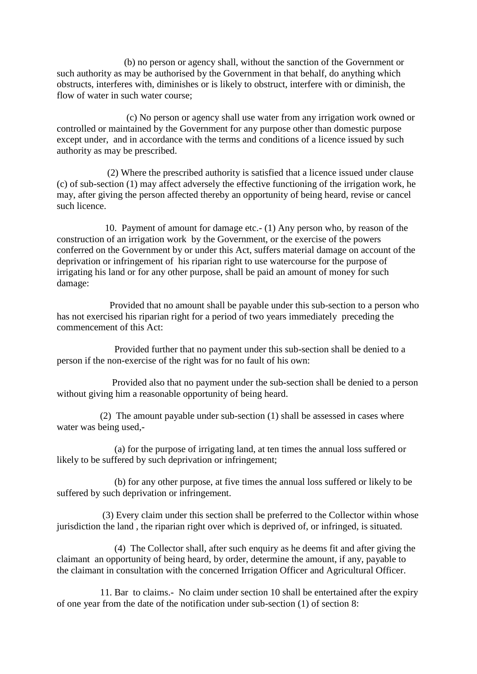(b) no person or agency shall, without the sanction of the Government or such authority as may be authorised by the Government in that behalf, do anything which obstructs, interferes with, diminishes or is likely to obstruct, interfere with or diminish, the flow of water in such water course;

 (c) No person or agency shall use water from any irrigation work owned or controlled or maintained by the Government for any purpose other than domestic purpose except under, and in accordance with the terms and conditions of a licence issued by such authority as may be prescribed.

 (2) Where the prescribed authority is satisfied that a licence issued under clause (c) of sub-section (1) may affect adversely the effective functioning of the irrigation work, he may, after giving the person affected thereby an opportunity of being heard, revise or cancel such licence.

 10. Payment of amount for damage etc.- (1) Any person who, by reason of the construction of an irrigation work by the Government, or the exercise of the powers conferred on the Government by or under this Act, suffers material damage on account of the deprivation or infringement of his riparian right to use watercourse for the purpose of irrigating his land or for any other purpose, shall be paid an amount of money for such damage:

 Provided that no amount shall be payable under this sub-section to a person who has not exercised his riparian right for a period of two years immediately preceding the commencement of this Act:

 Provided further that no payment under this sub-section shall be denied to a person if the non-exercise of the right was for no fault of his own:

 Provided also that no payment under the sub-section shall be denied to a person without giving him a reasonable opportunity of being heard.

 (2) The amount payable under sub-section (1) shall be assessed in cases where water was being used,-

 (a) for the purpose of irrigating land, at ten times the annual loss suffered or likely to be suffered by such deprivation or infringement;

 (b) for any other purpose, at five times the annual loss suffered or likely to be suffered by such deprivation or infringement.

 (3) Every claim under this section shall be preferred to the Collector within whose jurisdiction the land , the riparian right over which is deprived of, or infringed, is situated.

 (4) The Collector shall, after such enquiry as he deems fit and after giving the claimant an opportunity of being heard, by order, determine the amount, if any, payable to the claimant in consultation with the concerned Irrigation Officer and Agricultural Officer.

 11. Bar to claims.- No claim under section 10 shall be entertained after the expiry of one year from the date of the notification under sub-section (1) of section 8: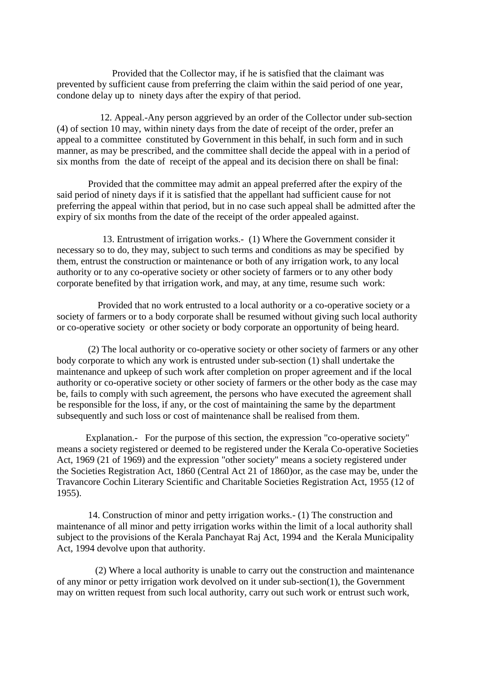Provided that the Collector may, if he is satisfied that the claimant was prevented by sufficient cause from preferring the claim within the said period of one year, condone delay up to ninety days after the expiry of that period.

 12. Appeal.-Any person aggrieved by an order of the Collector under sub-section (4) of section 10 may, within ninety days from the date of receipt of the order, prefer an appeal to a committee constituted by Government in this behalf, in such form and in such manner, as may be prescribed, and the committee shall decide the appeal with in a period of six months from the date of receipt of the appeal and its decision there on shall be final:

 Provided that the committee may admit an appeal preferred after the expiry of the said period of ninety days if it is satisfied that the appellant had sufficient cause for not preferring the appeal within that period, but in no case such appeal shall be admitted after the expiry of six months from the date of the receipt of the order appealed against.

 13. Entrustment of irrigation works.- (1) Where the Government consider it necessary so to do, they may, subject to such terms and conditions as may be specified by them, entrust the construction or maintenance or both of any irrigation work, to any local authority or to any co-operative society or other society of farmers or to any other body corporate benefited by that irrigation work, and may, at any time, resume such work:

 Provided that no work entrusted to a local authority or a co-operative society or a society of farmers or to a body corporate shall be resumed without giving such local authority or co-operative society or other society or body corporate an opportunity of being heard.

 (2) The local authority or co-operative society or other society of farmers or any other body corporate to which any work is entrusted under sub-section (1) shall undertake the maintenance and upkeep of such work after completion on proper agreement and if the local authority or co-operative society or other society of farmers or the other body as the case may be, fails to comply with such agreement, the persons who have executed the agreement shall be responsible for the loss, if any, or the cost of maintaining the same by the department subsequently and such loss or cost of maintenance shall be realised from them.

 Explanation.- For the purpose of this section, the expression "co-operative society" means a society registered or deemed to be registered under the Kerala Co-operative Societies Act, 1969 (21 of 1969) and the expression "other society" means a society registered under the Societies Registration Act, 1860 (Central Act 21 of 1860)or, as the case may be, under the Travancore Cochin Literary Scientific and Charitable Societies Registration Act, 1955 (12 of 1955).

 14. Construction of minor and petty irrigation works.- (1) The construction and maintenance of all minor and petty irrigation works within the limit of a local authority shall subject to the provisions of the Kerala Panchayat Raj Act, 1994 and the Kerala Municipality Act, 1994 devolve upon that authority.

 (2) Where a local authority is unable to carry out the construction and maintenance of any minor or petty irrigation work devolved on it under sub-section(1), the Government may on written request from such local authority, carry out such work or entrust such work,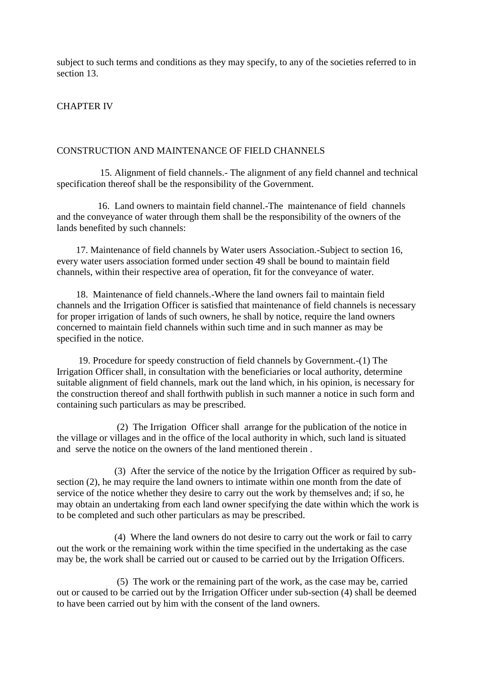subject to such terms and conditions as they may specify, to any of the societies referred to in section 13.

## CHAPTER IV

#### CONSTRUCTION AND MAINTENANCE OF FIELD CHANNELS

 15. Alignment of field channels.- The alignment of any field channel and technical specification thereof shall be the responsibility of the Government.

 16. Land owners to maintain field channel.-The maintenance of field channels and the conveyance of water through them shall be the responsibility of the owners of the lands benefited by such channels:

 17. Maintenance of field channels by Water users Association.-Subject to section 16, every water users association formed under section 49 shall be bound to maintain field channels, within their respective area of operation, fit for the conveyance of water.

 18. Maintenance of field channels.-Where the land owners fail to maintain field channels and the Irrigation Officer is satisfied that maintenance of field channels is necessary for proper irrigation of lands of such owners, he shall by notice, require the land owners concerned to maintain field channels within such time and in such manner as may be specified in the notice.

 19. Procedure for speedy construction of field channels by Government.-(1) The Irrigation Officer shall, in consultation with the beneficiaries or local authority, determine suitable alignment of field channels, mark out the land which, in his opinion, is necessary for the construction thereof and shall forthwith publish in such manner a notice in such form and containing such particulars as may be prescribed.

 (2) The Irrigation Officer shall arrange for the publication of the notice in the village or villages and in the office of the local authority in which, such land is situated and serve the notice on the owners of the land mentioned therein .

 (3) After the service of the notice by the Irrigation Officer as required by subsection (2), he may require the land owners to intimate within one month from the date of service of the notice whether they desire to carry out the work by themselves and; if so, he may obtain an undertaking from each land owner specifying the date within which the work is to be completed and such other particulars as may be prescribed.

 (4) Where the land owners do not desire to carry out the work or fail to carry out the work or the remaining work within the time specified in the undertaking as the case may be, the work shall be carried out or caused to be carried out by the Irrigation Officers.

 (5) The work or the remaining part of the work, as the case may be, carried out or caused to be carried out by the Irrigation Officer under sub-section (4) shall be deemed to have been carried out by him with the consent of the land owners.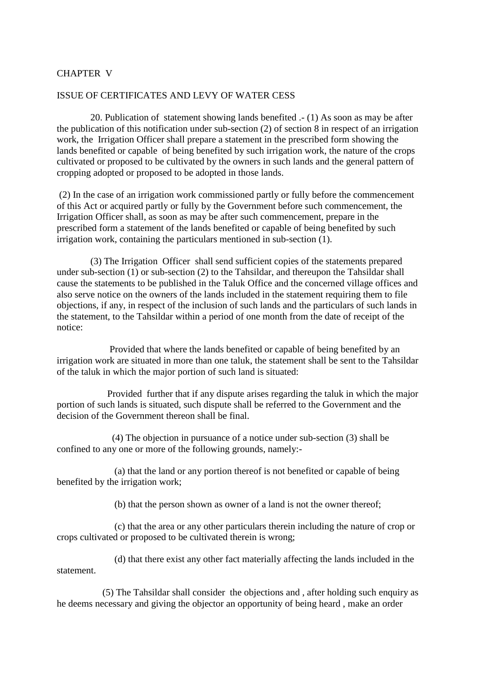# CHAPTER V

#### ISSUE OF CERTIFICATES AND LEVY OF WATER CESS

 20. Publication of statement showing lands benefited .- (1) As soon as may be after the publication of this notification under sub-section (2) of section 8 in respect of an irrigation work, the Irrigation Officer shall prepare a statement in the prescribed form showing the lands benefited or capable of being benefited by such irrigation work, the nature of the crops cultivated or proposed to be cultivated by the owners in such lands and the general pattern of cropping adopted or proposed to be adopted in those lands.

(2) In the case of an irrigation work commissioned partly or fully before the commencement of this Act or acquired partly or fully by the Government before such commencement, the Irrigation Officer shall, as soon as may be after such commencement, prepare in the prescribed form a statement of the lands benefited or capable of being benefited by such irrigation work, containing the particulars mentioned in sub-section (1).

 (3) The Irrigation Officer shall send sufficient copies of the statements prepared under sub-section (1) or sub-section (2) to the Tahsildar, and thereupon the Tahsildar shall cause the statements to be published in the Taluk Office and the concerned village offices and also serve notice on the owners of the lands included in the statement requiring them to file objections, if any, in respect of the inclusion of such lands and the particulars of such lands in the statement, to the Tahsildar within a period of one month from the date of receipt of the notice:

 Provided that where the lands benefited or capable of being benefited by an irrigation work are situated in more than one taluk, the statement shall be sent to the Tahsildar of the taluk in which the major portion of such land is situated:

 Provided further that if any dispute arises regarding the taluk in which the major portion of such lands is situated, such dispute shall be referred to the Government and the decision of the Government thereon shall be final.

 (4) The objection in pursuance of a notice under sub-section (3) shall be confined to any one or more of the following grounds, namely:-

 (a) that the land or any portion thereof is not benefited or capable of being benefited by the irrigation work;

(b) that the person shown as owner of a land is not the owner thereof;

 (c) that the area or any other particulars therein including the nature of crop or crops cultivated or proposed to be cultivated therein is wrong;

 (d) that there exist any other fact materially affecting the lands included in the statement.

 (5) The Tahsildar shall consider the objections and , after holding such enquiry as he deems necessary and giving the objector an opportunity of being heard , make an order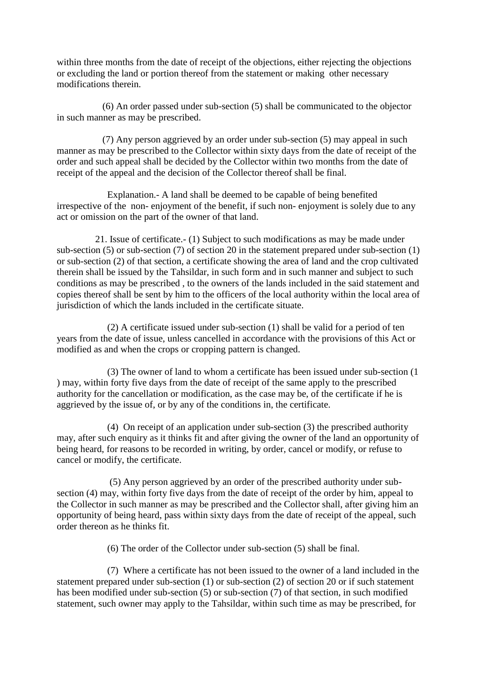within three months from the date of receipt of the objections, either rejecting the objections or excluding the land or portion thereof from the statement or making other necessary modifications therein.

 (6) An order passed under sub-section (5) shall be communicated to the objector in such manner as may be prescribed.

 (7) Any person aggrieved by an order under sub-section (5) may appeal in such manner as may be prescribed to the Collector within sixty days from the date of receipt of the order and such appeal shall be decided by the Collector within two months from the date of receipt of the appeal and the decision of the Collector thereof shall be final.

 Explanation.- A land shall be deemed to be capable of being benefited irrespective of the non- enjoyment of the benefit, if such non- enjoyment is solely due to any act or omission on the part of the owner of that land.

 21. Issue of certificate.- (1) Subject to such modifications as may be made under sub-section (5) or sub-section (7) of section 20 in the statement prepared under sub-section (1) or sub-section (2) of that section, a certificate showing the area of land and the crop cultivated therein shall be issued by the Tahsildar, in such form and in such manner and subject to such conditions as may be prescribed , to the owners of the lands included in the said statement and copies thereof shall be sent by him to the officers of the local authority within the local area of jurisdiction of which the lands included in the certificate situate.

 (2) A certificate issued under sub-section (1) shall be valid for a period of ten years from the date of issue, unless cancelled in accordance with the provisions of this Act or modified as and when the crops or cropping pattern is changed.

 (3) The owner of land to whom a certificate has been issued under sub-section (1 ) may, within forty five days from the date of receipt of the same apply to the prescribed authority for the cancellation or modification, as the case may be, of the certificate if he is aggrieved by the issue of, or by any of the conditions in, the certificate.

 (4) On receipt of an application under sub-section (3) the prescribed authority may, after such enquiry as it thinks fit and after giving the owner of the land an opportunity of being heard, for reasons to be recorded in writing, by order, cancel or modify, or refuse to cancel or modify, the certificate.

 (5) Any person aggrieved by an order of the prescribed authority under subsection (4) may, within forty five days from the date of receipt of the order by him, appeal to the Collector in such manner as may be prescribed and the Collector shall, after giving him an opportunity of being heard, pass within sixty days from the date of receipt of the appeal, such order thereon as he thinks fit.

(6) The order of the Collector under sub-section (5) shall be final.

 (7) Where a certificate has not been issued to the owner of a land included in the statement prepared under sub-section (1) or sub-section (2) of section 20 or if such statement has been modified under sub-section (5) or sub-section (7) of that section, in such modified statement, such owner may apply to the Tahsildar, within such time as may be prescribed, for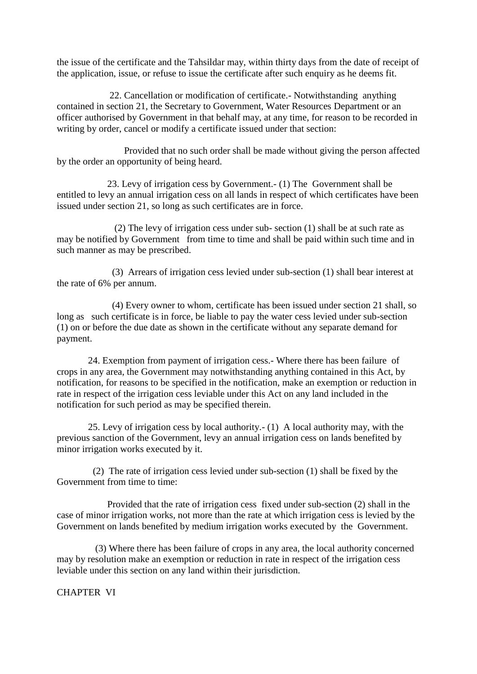the issue of the certificate and the Tahsildar may, within thirty days from the date of receipt of the application, issue, or refuse to issue the certificate after such enquiry as he deems fit.

 22. Cancellation or modification of certificate.- Notwithstanding anything contained in section 21, the Secretary to Government, Water Resources Department or an officer authorised by Government in that behalf may, at any time, for reason to be recorded in writing by order, cancel or modify a certificate issued under that section:

 Provided that no such order shall be made without giving the person affected by the order an opportunity of being heard.

 23. Levy of irrigation cess by Government.- (1) The Government shall be entitled to levy an annual irrigation cess on all lands in respect of which certificates have been issued under section 21, so long as such certificates are in force.

 (2) The levy of irrigation cess under sub- section (1) shall be at such rate as may be notified by Government from time to time and shall be paid within such time and in such manner as may be prescribed.

 (3) Arrears of irrigation cess levied under sub-section (1) shall bear interest at the rate of 6% per annum.

 (4) Every owner to whom, certificate has been issued under section 21 shall, so long as such certificate is in force, be liable to pay the water cess levied under sub-section (1) on or before the due date as shown in the certificate without any separate demand for payment.

 24. Exemption from payment of irrigation cess.- Where there has been failure of crops in any area, the Government may notwithstanding anything contained in this Act, by notification, for reasons to be specified in the notification, make an exemption or reduction in rate in respect of the irrigation cess leviable under this Act on any land included in the notification for such period as may be specified therein.

 25. Levy of irrigation cess by local authority.- (1) A local authority may, with the previous sanction of the Government, levy an annual irrigation cess on lands benefited by minor irrigation works executed by it.

 (2) The rate of irrigation cess levied under sub-section (1) shall be fixed by the Government from time to time:

 Provided that the rate of irrigation cess fixed under sub-section (2) shall in the case of minor irrigation works, not more than the rate at which irrigation cess is levied by the Government on lands benefited by medium irrigation works executed by the Government.

 (3) Where there has been failure of crops in any area, the local authority concerned may by resolution make an exemption or reduction in rate in respect of the irrigation cess leviable under this section on any land within their jurisdiction.

CHAPTER VI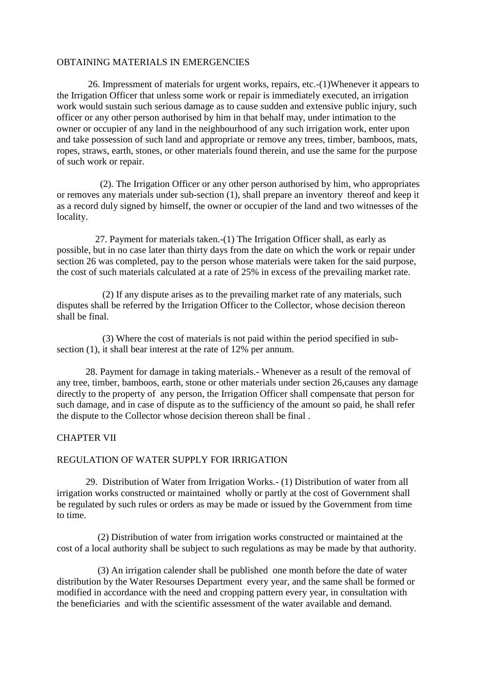## OBTAINING MATERIALS IN EMERGENCIES

 26. Impressment of materials for urgent works, repairs, etc.-(1)Whenever it appears to the Irrigation Officer that unless some work or repair is immediately executed, an irrigation work would sustain such serious damage as to cause sudden and extensive public injury, such officer or any other person authorised by him in that behalf may, under intimation to the owner or occupier of any land in the neighbourhood of any such irrigation work, enter upon and take possession of such land and appropriate or remove any trees, timber, bamboos, mats, ropes, straws, earth, stones, or other materials found therein, and use the same for the purpose of such work or repair.

 (2). The Irrigation Officer or any other person authorised by him, who appropriates or removes any materials under sub-section (1), shall prepare an inventory thereof and keep it as a record duly signed by himself, the owner or occupier of the land and two witnesses of the locality.

 27. Payment for materials taken.-(1) The Irrigation Officer shall, as early as possible, but in no case later than thirty days from the date on which the work or repair under section 26 was completed, pay to the person whose materials were taken for the said purpose, the cost of such materials calculated at a rate of 25% in excess of the prevailing market rate.

 (2) If any dispute arises as to the prevailing market rate of any materials, such disputes shall be referred by the Irrigation Officer to the Collector, whose decision thereon shall be final.

 (3) Where the cost of materials is not paid within the period specified in subsection (1), it shall bear interest at the rate of 12% per annum.

 28. Payment for damage in taking materials.- Whenever as a result of the removal of any tree, timber, bamboos, earth, stone or other materials under section 26,causes any damage directly to the property of any person, the Irrigation Officer shall compensate that person for such damage, and in case of dispute as to the sufficiency of the amount so paid, he shall refer the dispute to the Collector whose decision thereon shall be final .

## CHAPTER VII

#### REGULATION OF WATER SUPPLY FOR IRRIGATION

 29. Distribution of Water from Irrigation Works.- (1) Distribution of water from all irrigation works constructed or maintained wholly or partly at the cost of Government shall be regulated by such rules or orders as may be made or issued by the Government from time to time.

 (2) Distribution of water from irrigation works constructed or maintained at the cost of a local authority shall be subject to such regulations as may be made by that authority.

 (3) An irrigation calender shall be published one month before the date of water distribution by the Water Resourses Department every year, and the same shall be formed or modified in accordance with the need and cropping pattern every year, in consultation with the beneficiaries and with the scientific assessment of the water available and demand.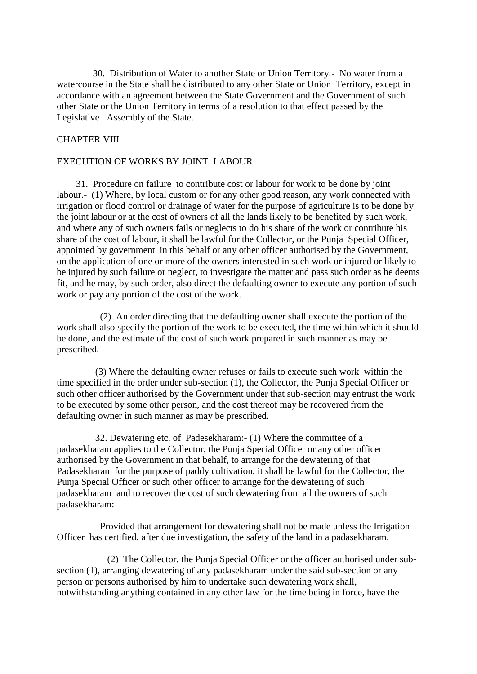30. Distribution of Water to another State or Union Territory.- No water from a watercourse in the State shall be distributed to any other State or Union Territory, except in accordance with an agreement between the State Government and the Government of such other State or the Union Territory in terms of a resolution to that effect passed by the Legislative Assembly of the State.

# CHAPTER VIII

## EXECUTION OF WORKS BY JOINT LABOUR

 31. Procedure on failure to contribute cost or labour for work to be done by joint labour.- (1) Where, by local custom or for any other good reason, any work connected with irrigation or flood control or drainage of water for the purpose of agriculture is to be done by the joint labour or at the cost of owners of all the lands likely to be benefited by such work, and where any of such owners fails or neglects to do his share of the work or contribute his share of the cost of labour, it shall be lawful for the Collector, or the Punja Special Officer, appointed by government in this behalf or any other officer authorised by the Government, on the application of one or more of the owners interested in such work or injured or likely to be injured by such failure or neglect, to investigate the matter and pass such order as he deems fit, and he may, by such order, also direct the defaulting owner to execute any portion of such work or pay any portion of the cost of the work.

 (2) An order directing that the defaulting owner shall execute the portion of the work shall also specify the portion of the work to be executed, the time within which it should be done, and the estimate of the cost of such work prepared in such manner as may be prescribed.

 (3) Where the defaulting owner refuses or fails to execute such work within the time specified in the order under sub-section (1), the Collector, the Punja Special Officer or such other officer authorised by the Government under that sub-section may entrust the work to be executed by some other person, and the cost thereof may be recovered from the defaulting owner in such manner as may be prescribed.

 32. Dewatering etc. of Padesekharam:- (1) Where the committee of a padasekharam applies to the Collector, the Punja Special Officer or any other officer authorised by the Government in that behalf, to arrange for the dewatering of that Padasekharam for the purpose of paddy cultivation, it shall be lawful for the Collector, the Punja Special Officer or such other officer to arrange for the dewatering of such padasekharam and to recover the cost of such dewatering from all the owners of such padasekharam:

 Provided that arrangement for dewatering shall not be made unless the Irrigation Officer has certified, after due investigation, the safety of the land in a padasekharam.

 (2) The Collector, the Punja Special Officer or the officer authorised under subsection (1), arranging dewatering of any padasekharam under the said sub-section or any person or persons authorised by him to undertake such dewatering work shall, notwithstanding anything contained in any other law for the time being in force, have the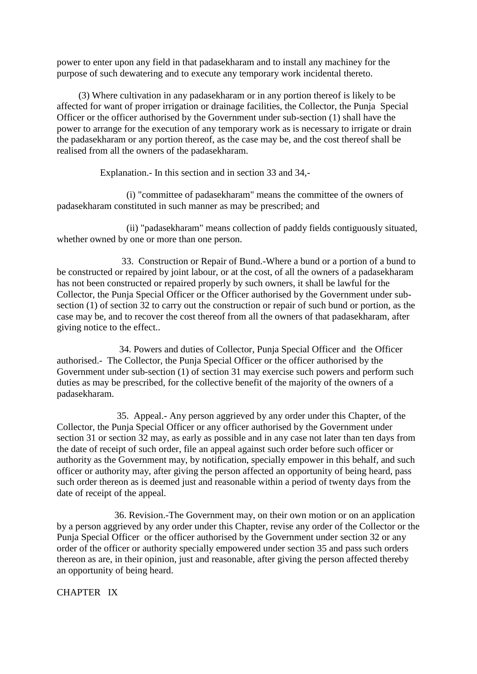power to enter upon any field in that padasekharam and to install any machiney for the purpose of such dewatering and to execute any temporary work incidental thereto.

 (3) Where cultivation in any padasekharam or in any portion thereof is likely to be affected for want of proper irrigation or drainage facilities, the Collector, the Punja Special Officer or the officer authorised by the Government under sub-section (1) shall have the power to arrange for the execution of any temporary work as is necessary to irrigate or drain the padasekharam or any portion thereof, as the case may be, and the cost thereof shall be realised from all the owners of the padasekharam.

Explanation.- In this section and in section 33 and 34,-

 (i) "committee of padasekharam" means the committee of the owners of padasekharam constituted in such manner as may be prescribed; and

 (ii) "padasekharam" means collection of paddy fields contiguously situated, whether owned by one or more than one person.

 33. Construction or Repair of Bund.-Where a bund or a portion of a bund to be constructed or repaired by joint labour, or at the cost, of all the owners of a padasekharam has not been constructed or repaired properly by such owners, it shall be lawful for the Collector, the Punja Special Officer or the Officer authorised by the Government under subsection (1) of section 32 to carry out the construction or repair of such bund or portion, as the case may be, and to recover the cost thereof from all the owners of that padasekharam, after giving notice to the effect..

 34. Powers and duties of Collector, Punja Special Officer and the Officer authorised.- The Collector, the Punja Special Officer or the officer authorised by the Government under sub-section (1) of section 31 may exercise such powers and perform such duties as may be prescribed, for the collective benefit of the majority of the owners of a padasekharam.

 35. Appeal.- Any person aggrieved by any order under this Chapter, of the Collector, the Punja Special Officer or any officer authorised by the Government under section 31 or section 32 may, as early as possible and in any case not later than ten days from the date of receipt of such order, file an appeal against such order before such officer or authority as the Government may, by notification, specially empower in this behalf, and such officer or authority may, after giving the person affected an opportunity of being heard, pass such order thereon as is deemed just and reasonable within a period of twenty days from the date of receipt of the appeal.

 36. Revision.-The Government may, on their own motion or on an application by a person aggrieved by any order under this Chapter, revise any order of the Collector or the Punja Special Officer or the officer authorised by the Government under section 32 or any order of the officer or authority specially empowered under section 35 and pass such orders thereon as are, in their opinion, just and reasonable, after giving the person affected thereby an opportunity of being heard.

CHAPTER IX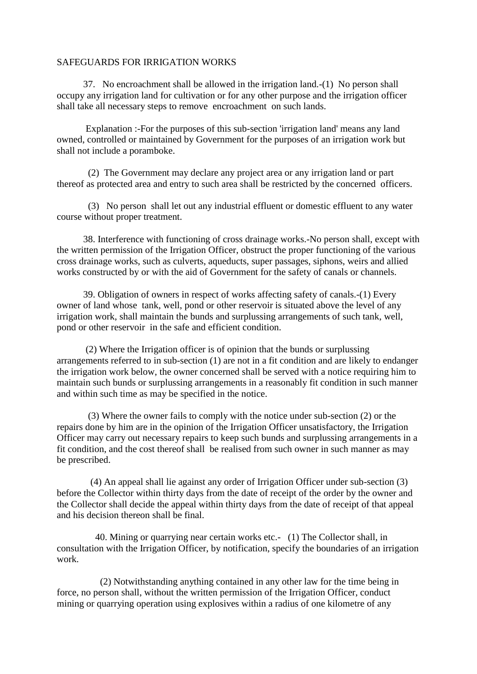#### SAFEGUARDS FOR IRRIGATION WORKS

 37. No encroachment shall be allowed in the irrigation land.-(1) No person shall occupy any irrigation land for cultivation or for any other purpose and the irrigation officer shall take all necessary steps to remove encroachment on such lands.

 Explanation :-For the purposes of this sub-section 'irrigation land' means any land owned, controlled or maintained by Government for the purposes of an irrigation work but shall not include a poramboke.

 (2) The Government may declare any project area or any irrigation land or part thereof as protected area and entry to such area shall be restricted by the concerned officers.

 (3) No person shall let out any industrial effluent or domestic effluent to any water course without proper treatment.

 38. Interference with functioning of cross drainage works.-No person shall, except with the written permission of the Irrigation Officer, obstruct the proper functioning of the various cross drainage works, such as culverts, aqueducts, super passages, siphons, weirs and allied works constructed by or with the aid of Government for the safety of canals or channels.

 39. Obligation of owners in respect of works affecting safety of canals.-(1) Every owner of land whose tank, well, pond or other reservoir is situated above the level of any irrigation work, shall maintain the bunds and surplussing arrangements of such tank, well, pond or other reservoir in the safe and efficient condition.

 (2) Where the Irrigation officer is of opinion that the bunds or surplussing arrangements referred to in sub-section (1) are not in a fit condition and are likely to endanger the irrigation work below, the owner concerned shall be served with a notice requiring him to maintain such bunds or surplussing arrangements in a reasonably fit condition in such manner and within such time as may be specified in the notice.

 (3) Where the owner fails to comply with the notice under sub-section (2) or the repairs done by him are in the opinion of the Irrigation Officer unsatisfactory, the Irrigation Officer may carry out necessary repairs to keep such bunds and surplussing arrangements in a fit condition, and the cost thereof shall be realised from such owner in such manner as may be prescribed.

 (4) An appeal shall lie against any order of Irrigation Officer under sub-section (3) before the Collector within thirty days from the date of receipt of the order by the owner and the Collector shall decide the appeal within thirty days from the date of receipt of that appeal and his decision thereon shall be final.

 40. Mining or quarrying near certain works etc.- (1) The Collector shall, in consultation with the Irrigation Officer, by notification, specify the boundaries of an irrigation work.

 (2) Notwithstanding anything contained in any other law for the time being in force, no person shall, without the written permission of the Irrigation Officer, conduct mining or quarrying operation using explosives within a radius of one kilometre of any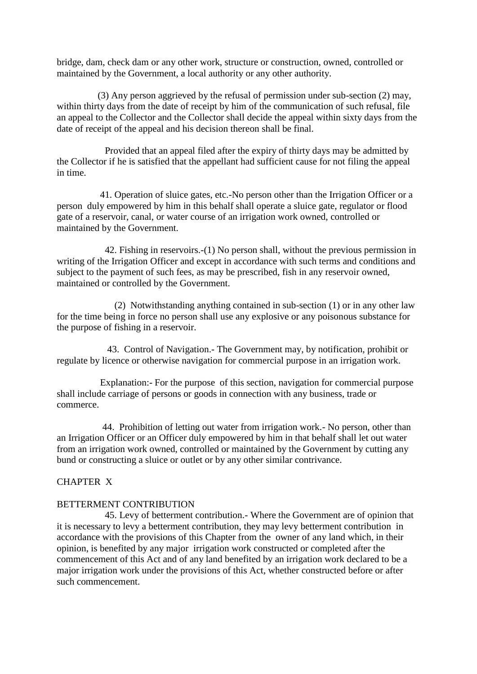bridge, dam, check dam or any other work, structure or construction, owned, controlled or maintained by the Government, a local authority or any other authority.

 (3) Any person aggrieved by the refusal of permission under sub-section (2) may, within thirty days from the date of receipt by him of the communication of such refusal, file an appeal to the Collector and the Collector shall decide the appeal within sixty days from the date of receipt of the appeal and his decision thereon shall be final.

 Provided that an appeal filed after the expiry of thirty days may be admitted by the Collector if he is satisfied that the appellant had sufficient cause for not filing the appeal in time.

 41. Operation of sluice gates, etc.-No person other than the Irrigation Officer or a person duly empowered by him in this behalf shall operate a sluice gate, regulator or flood gate of a reservoir, canal, or water course of an irrigation work owned, controlled or maintained by the Government.

 42. Fishing in reservoirs.-(1) No person shall, without the previous permission in writing of the Irrigation Officer and except in accordance with such terms and conditions and subject to the payment of such fees, as may be prescribed, fish in any reservoir owned, maintained or controlled by the Government.

 (2) Notwithstanding anything contained in sub-section (1) or in any other law for the time being in force no person shall use any explosive or any poisonous substance for the purpose of fishing in a reservoir.

 43. Control of Navigation.- The Government may, by notification, prohibit or regulate by licence or otherwise navigation for commercial purpose in an irrigation work.

 Explanation:- For the purpose of this section, navigation for commercial purpose shall include carriage of persons or goods in connection with any business, trade or commerce.

 44. Prohibition of letting out water from irrigation work.- No person, other than an Irrigation Officer or an Officer duly empowered by him in that behalf shall let out water from an irrigation work owned, controlled or maintained by the Government by cutting any bund or constructing a sluice or outlet or by any other similar contrivance.

# CHAPTER X

## BETTERMENT CONTRIBUTION

 45. Levy of betterment contribution.- Where the Government are of opinion that it is necessary to levy a betterment contribution, they may levy betterment contribution in accordance with the provisions of this Chapter from the owner of any land which, in their opinion, is benefited by any major irrigation work constructed or completed after the commencement of this Act and of any land benefited by an irrigation work declared to be a major irrigation work under the provisions of this Act, whether constructed before or after such commencement.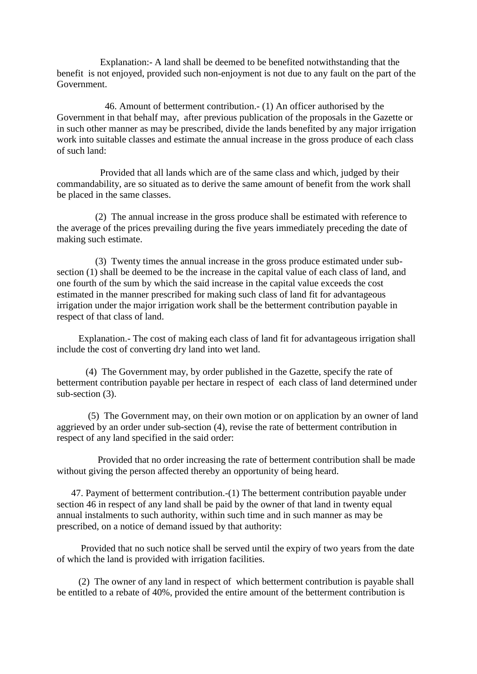Explanation:- A land shall be deemed to be benefited notwithstanding that the benefit is not enjoyed, provided such non-enjoyment is not due to any fault on the part of the Government.

 46. Amount of betterment contribution.- (1) An officer authorised by the Government in that behalf may, after previous publication of the proposals in the Gazette or in such other manner as may be prescribed, divide the lands benefited by any major irrigation work into suitable classes and estimate the annual increase in the gross produce of each class of such land:

 Provided that all lands which are of the same class and which, judged by their commandability, are so situated as to derive the same amount of benefit from the work shall be placed in the same classes.

 (2) The annual increase in the gross produce shall be estimated with reference to the average of the prices prevailing during the five years immediately preceding the date of making such estimate.

 (3) Twenty times the annual increase in the gross produce estimated under subsection (1) shall be deemed to be the increase in the capital value of each class of land, and one fourth of the sum by which the said increase in the capital value exceeds the cost estimated in the manner prescribed for making such class of land fit for advantageous irrigation under the major irrigation work shall be the betterment contribution payable in respect of that class of land.

 Explanation.- The cost of making each class of land fit for advantageous irrigation shall include the cost of converting dry land into wet land.

 (4) The Government may, by order published in the Gazette, specify the rate of betterment contribution payable per hectare in respect of each class of land determined under sub-section (3).

 (5) The Government may, on their own motion or on application by an owner of land aggrieved by an order under sub-section (4), revise the rate of betterment contribution in respect of any land specified in the said order:

 Provided that no order increasing the rate of betterment contribution shall be made without giving the person affected thereby an opportunity of being heard.

 47. Payment of betterment contribution.-(1) The betterment contribution payable under section 46 in respect of any land shall be paid by the owner of that land in twenty equal annual instalments to such authority, within such time and in such manner as may be prescribed, on a notice of demand issued by that authority:

 Provided that no such notice shall be served until the expiry of two years from the date of which the land is provided with irrigation facilities.

 (2) The owner of any land in respect of which betterment contribution is payable shall be entitled to a rebate of 40%, provided the entire amount of the betterment contribution is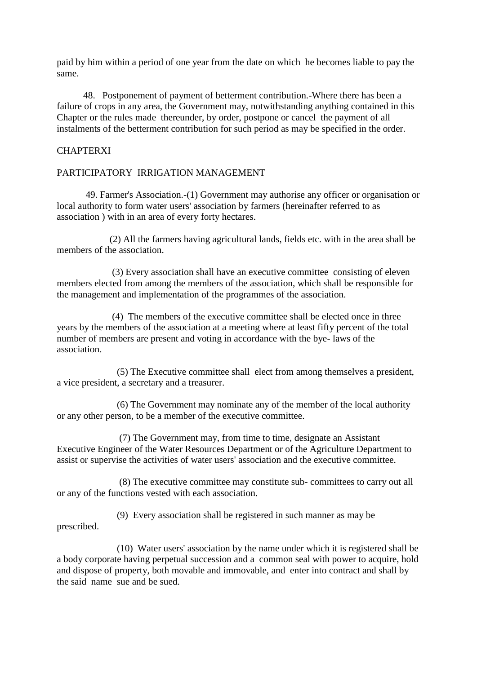paid by him within a period of one year from the date on which he becomes liable to pay the same.

 48. Postponement of payment of betterment contribution.-Where there has been a failure of crops in any area, the Government may, notwithstanding anything contained in this Chapter or the rules made thereunder, by order, postpone or cancel the payment of all instalments of the betterment contribution for such period as may be specified in the order.

# **CHAPTERXI**

## PARTICIPATORY IRRIGATION MANAGEMENT

 49. Farmer's Association.-(1) Government may authorise any officer or organisation or local authority to form water users' association by farmers (hereinafter referred to as association ) with in an area of every forty hectares.

 (2) All the farmers having agricultural lands, fields etc. with in the area shall be members of the association.

 (3) Every association shall have an executive committee consisting of eleven members elected from among the members of the association, which shall be responsible for the management and implementation of the programmes of the association.

 (4) The members of the executive committee shall be elected once in three years by the members of the association at a meeting where at least fifty percent of the total number of members are present and voting in accordance with the bye- laws of the association.

 (5) The Executive committee shall elect from among themselves a president, a vice president, a secretary and a treasurer.

 (6) The Government may nominate any of the member of the local authority or any other person, to be a member of the executive committee.

 (7) The Government may, from time to time, designate an Assistant Executive Engineer of the Water Resources Department or of the Agriculture Department to assist or supervise the activities of water users' association and the executive committee.

 (8) The executive committee may constitute sub- committees to carry out all or any of the functions vested with each association.

 (9) Every association shall be registered in such manner as may be prescribed.

 (10) Water users' association by the name under which it is registered shall be a body corporate having perpetual succession and a common seal with power to acquire, hold and dispose of property, both movable and immovable, and enter into contract and shall by the said name sue and be sued.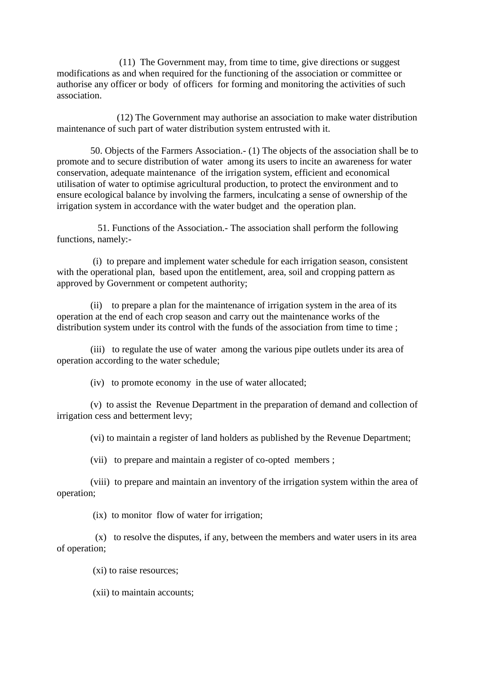(11) The Government may, from time to time, give directions or suggest modifications as and when required for the functioning of the association or committee or authorise any officer or body of officers for forming and monitoring the activities of such association.

 (12) The Government may authorise an association to make water distribution maintenance of such part of water distribution system entrusted with it.

 50. Objects of the Farmers Association.- (1) The objects of the association shall be to promote and to secure distribution of water among its users to incite an awareness for water conservation, adequate maintenance of the irrigation system, efficient and economical utilisation of water to optimise agricultural production, to protect the environment and to ensure ecological balance by involving the farmers, inculcating a sense of ownership of the irrigation system in accordance with the water budget and the operation plan.

 51. Functions of the Association.- The association shall perform the following functions, namely:-

 (i) to prepare and implement water schedule for each irrigation season, consistent with the operational plan, based upon the entitlement, area, soil and cropping pattern as approved by Government or competent authority;

 (ii) to prepare a plan for the maintenance of irrigation system in the area of its operation at the end of each crop season and carry out the maintenance works of the distribution system under its control with the funds of the association from time to time ;

 (iii) to regulate the use of water among the various pipe outlets under its area of operation according to the water schedule;

(iv) to promote economy in the use of water allocated;

 (v) to assist the Revenue Department in the preparation of demand and collection of irrigation cess and betterment levy;

(vi) to maintain a register of land holders as published by the Revenue Department;

(vii) to prepare and maintain a register of co-opted members ;

 (viii) to prepare and maintain an inventory of the irrigation system within the area of operation;

(ix) to monitor flow of water for irrigation;

 (x) to resolve the disputes, if any, between the members and water users in its area of operation;

(xi) to raise resources;

(xii) to maintain accounts;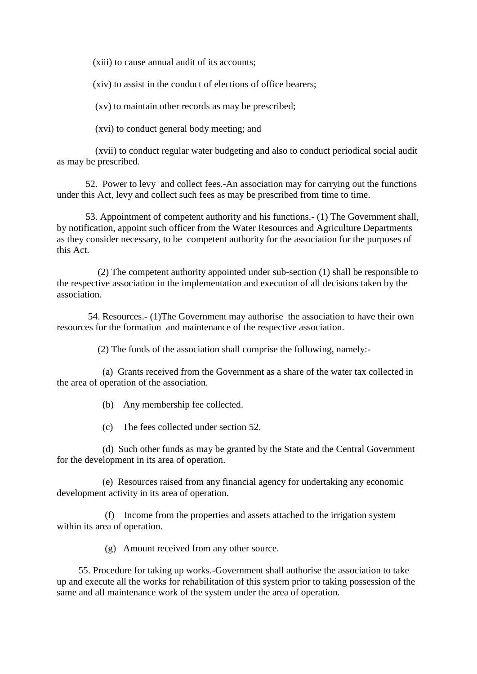(xiii) to cause annual audit of its accounts;

(xiv) to assist in the conduct of elections of office bearers;

(xv) to maintain other records as may be prescribed;

(xvi) to conduct general body meeting; and

 (xvii) to conduct regular water budgeting and also to conduct periodical social audit as may be prescribed.

 52. Power to levy and collect fees.-An association may for carrying out the functions under this Act, levy and collect such fees as may be prescribed from time to time.

 53. Appointment of competent authority and his functions.- (1) The Government shall, by notification, appoint such officer from the Water Resources and Agriculture Departments as they consider necessary, to be competent authority for the association for the purposes of this Act.

 (2) The competent authority appointed under sub-section (1) shall be responsible to the respective association in the implementation and execution of all decisions taken by the association.

 54. Resources.- (1)The Government may authorise the association to have their own resources for the formation and maintenance of the respective association.

(2) The funds of the association shall comprise the following, namely:-

 (a) Grants received from the Government as a share of the water tax collected in the area of operation of the association.

(b) Any membership fee collected.

(c) The fees collected under section 52.

 (d) Such other funds as may be granted by the State and the Central Government for the development in its area of operation.

 (e) Resources raised from any financial agency for undertaking any economic development activity in its area of operation.

 (f) Income from the properties and assets attached to the irrigation system within its area of operation.

(g) Amount received from any other source.

 55. Procedure for taking up works.-Government shall authorise the association to take up and execute all the works for rehabilitation of this system prior to taking possession of the same and all maintenance work of the system under the area of operation.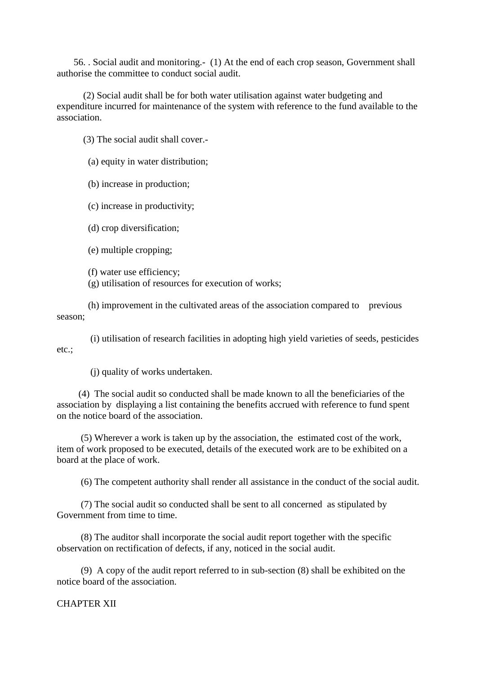56. . Social audit and monitoring.- (1) At the end of each crop season, Government shall authorise the committee to conduct social audit.

 (2) Social audit shall be for both water utilisation against water budgeting and expenditure incurred for maintenance of the system with reference to the fund available to the association.

(3) The social audit shall cover.-

(a) equity in water distribution;

(b) increase in production;

(c) increase in productivity;

(d) crop diversification;

(e) multiple cropping;

(f) water use efficiency;

(g) utilisation of resources for execution of works;

 (h) improvement in the cultivated areas of the association compared to previous season;

 (i) utilisation of research facilities in adopting high yield varieties of seeds, pesticides etc.;

(j) quality of works undertaken.

 (4) The social audit so conducted shall be made known to all the beneficiaries of the association by displaying a list containing the benefits accrued with reference to fund spent on the notice board of the association.

 (5) Wherever a work is taken up by the association, the estimated cost of the work, item of work proposed to be executed, details of the executed work are to be exhibited on a board at the place of work.

(6) The competent authority shall render all assistance in the conduct of the social audit.

 (7) The social audit so conducted shall be sent to all concerned as stipulated by Government from time to time.

 (8) The auditor shall incorporate the social audit report together with the specific observation on rectification of defects, if any, noticed in the social audit.

 (9) A copy of the audit report referred to in sub-section (8) shall be exhibited on the notice board of the association.

CHAPTER XII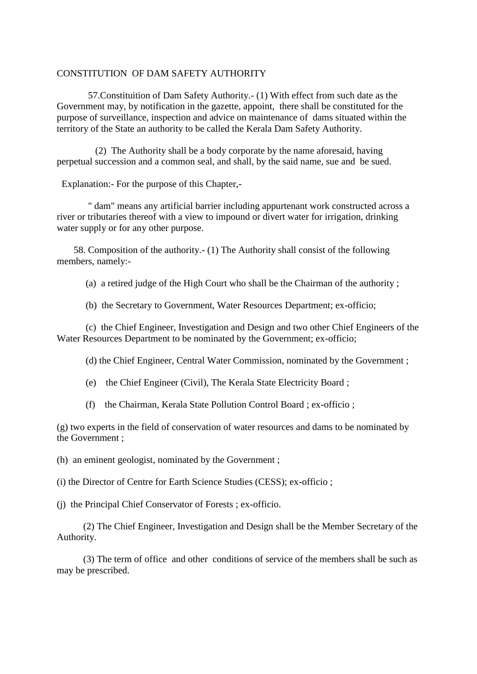#### CONSTITUTION OF DAM SAFETY AUTHORITY

 57.Constituition of Dam Safety Authority.- (1) With effect from such date as the Government may, by notification in the gazette, appoint, there shall be constituted for the purpose of surveillance, inspection and advice on maintenance of dams situated within the territory of the State an authority to be called the Kerala Dam Safety Authority.

 (2) The Authority shall be a body corporate by the name aforesaid, having perpetual succession and a common seal, and shall, by the said name, sue and be sued.

Explanation:- For the purpose of this Chapter,-

 " dam" means any artificial barrier including appurtenant work constructed across a river or tributaries thereof with a view to impound or divert water for irrigation, drinking water supply or for any other purpose.

 58. Composition of the authority.- (1) The Authority shall consist of the following members, namely:-

(a) a retired judge of the High Court who shall be the Chairman of the authority ;

(b) the Secretary to Government, Water Resources Department; ex-officio;

 (c) the Chief Engineer, Investigation and Design and two other Chief Engineers of the Water Resources Department to be nominated by the Government; ex-officio;

(d) the Chief Engineer, Central Water Commission, nominated by the Government ;

(e) the Chief Engineer (Civil), The Kerala State Electricity Board ;

(f) the Chairman, Kerala State Pollution Control Board ; ex-officio ;

(g) two experts in the field of conservation of water resources and dams to be nominated by the Government ;

(h) an eminent geologist, nominated by the Government ;

(i) the Director of Centre for Earth Science Studies (CESS); ex-officio ;

(j) the Principal Chief Conservator of Forests ; ex-officio.

 (2) The Chief Engineer, Investigation and Design shall be the Member Secretary of the Authority.

 (3) The term of office and other conditions of service of the members shall be such as may be prescribed.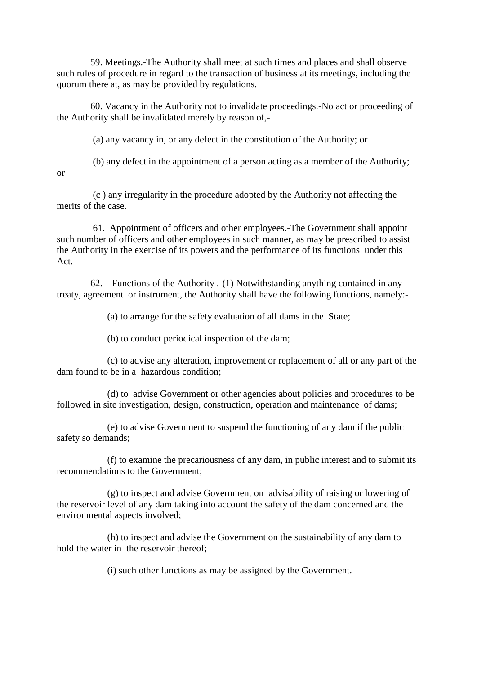59. Meetings.-The Authority shall meet at such times and places and shall observe such rules of procedure in regard to the transaction of business at its meetings, including the quorum there at, as may be provided by regulations.

 60. Vacancy in the Authority not to invalidate proceedings.-No act or proceeding of the Authority shall be invalidated merely by reason of,-

(a) any vacancy in, or any defect in the constitution of the Authority; or

(b) any defect in the appointment of a person acting as a member of the Authority;

or

 (c ) any irregularity in the procedure adopted by the Authority not affecting the merits of the case.

 61. Appointment of officers and other employees.-The Government shall appoint such number of officers and other employees in such manner, as may be prescribed to assist the Authority in the exercise of its powers and the performance of its functions under this Act.

62. Functions of the Authority  $-(1)$  Notwithstanding anything contained in any treaty, agreement or instrument, the Authority shall have the following functions, namely:-

(a) to arrange for the safety evaluation of all dams in the State;

(b) to conduct periodical inspection of the dam;

 (c) to advise any alteration, improvement or replacement of all or any part of the dam found to be in a hazardous condition;

 (d) to advise Government or other agencies about policies and procedures to be followed in site investigation, design, construction, operation and maintenance of dams;

 (e) to advise Government to suspend the functioning of any dam if the public safety so demands;

 (f) to examine the precariousness of any dam, in public interest and to submit its recommendations to the Government;

 (g) to inspect and advise Government on advisability of raising or lowering of the reservoir level of any dam taking into account the safety of the dam concerned and the environmental aspects involved;

 (h) to inspect and advise the Government on the sustainability of any dam to hold the water in the reservoir thereof;

(i) such other functions as may be assigned by the Government.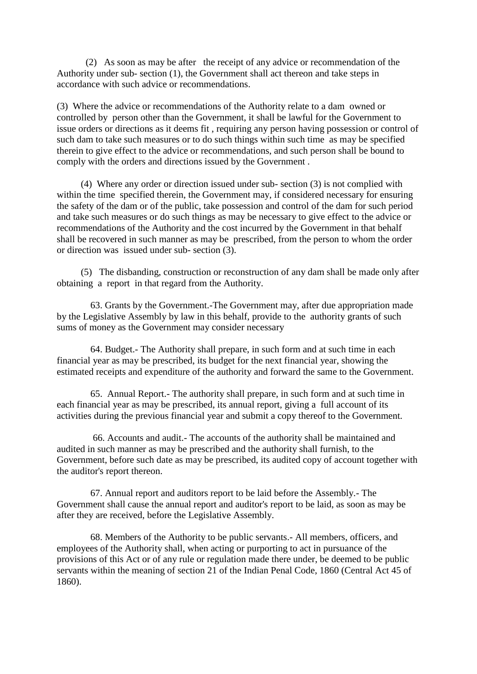(2) As soon as may be after the receipt of any advice or recommendation of the Authority under sub- section (1), the Government shall act thereon and take steps in accordance with such advice or recommendations.

(3) Where the advice or recommendations of the Authority relate to a dam owned or controlled by person other than the Government, it shall be lawful for the Government to issue orders or directions as it deems fit , requiring any person having possession or control of such dam to take such measures or to do such things within such time as may be specified therein to give effect to the advice or recommendations, and such person shall be bound to comply with the orders and directions issued by the Government .

 (4) Where any order or direction issued under sub- section (3) is not complied with within the time specified therein, the Government may, if considered necessary for ensuring the safety of the dam or of the public, take possession and control of the dam for such period and take such measures or do such things as may be necessary to give effect to the advice or recommendations of the Authority and the cost incurred by the Government in that behalf shall be recovered in such manner as may be prescribed, from the person to whom the order or direction was issued under sub- section (3).

 (5) The disbanding, construction or reconstruction of any dam shall be made only after obtaining a report in that regard from the Authority.

 63. Grants by the Government.-The Government may, after due appropriation made by the Legislative Assembly by law in this behalf, provide to the authority grants of such sums of money as the Government may consider necessary

 64. Budget.- The Authority shall prepare, in such form and at such time in each financial year as may be prescribed, its budget for the next financial year, showing the estimated receipts and expenditure of the authority and forward the same to the Government.

 65. Annual Report.- The authority shall prepare, in such form and at such time in each financial year as may be prescribed, its annual report, giving a full account of its activities during the previous financial year and submit a copy thereof to the Government.

 66. Accounts and audit.- The accounts of the authority shall be maintained and audited in such manner as may be prescribed and the authority shall furnish, to the Government, before such date as may be prescribed, its audited copy of account together with the auditor's report thereon.

 67. Annual report and auditors report to be laid before the Assembly.- The Government shall cause the annual report and auditor's report to be laid, as soon as may be after they are received, before the Legislative Assembly.

 68. Members of the Authority to be public servants.- All members, officers, and employees of the Authority shall, when acting or purporting to act in pursuance of the provisions of this Act or of any rule or regulation made there under, be deemed to be public servants within the meaning of section 21 of the Indian Penal Code, 1860 (Central Act 45 of 1860).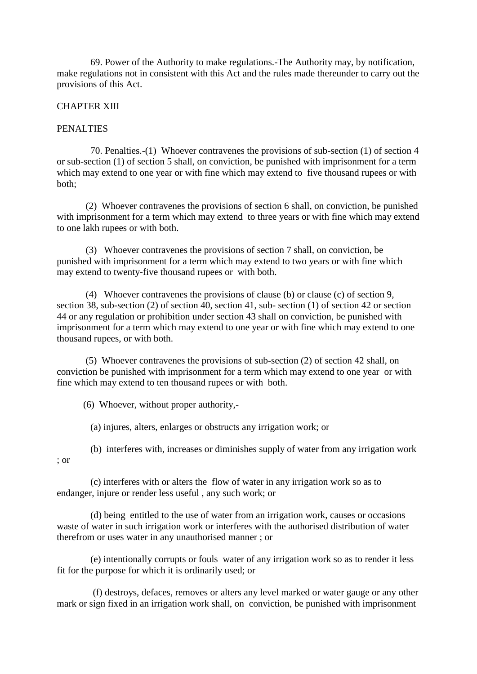69. Power of the Authority to make regulations.-The Authority may, by notification, make regulations not in consistent with this Act and the rules made thereunder to carry out the provisions of this Act.

# CHAPTER XIII

## PENALTIES

 70. Penalties.-(1) Whoever contravenes the provisions of sub-section (1) of section 4 or sub-section (1) of section 5 shall, on conviction, be punished with imprisonment for a term which may extend to one year or with fine which may extend to five thousand rupees or with both;

 (2) Whoever contravenes the provisions of section 6 shall, on conviction, be punished with imprisonment for a term which may extend to three years or with fine which may extend to one lakh rupees or with both.

 (3) Whoever contravenes the provisions of section 7 shall, on conviction, be punished with imprisonment for a term which may extend to two years or with fine which may extend to twenty-five thousand rupees or with both.

 (4) Whoever contravenes the provisions of clause (b) or clause (c) of section 9, section 38, sub-section (2) of section 40, section 41, sub- section (1) of section 42 or section 44 or any regulation or prohibition under section 43 shall on conviction, be punished with imprisonment for a term which may extend to one year or with fine which may extend to one thousand rupees, or with both.

 (5) Whoever contravenes the provisions of sub-section (2) of section 42 shall, on conviction be punished with imprisonment for a term which may extend to one year or with fine which may extend to ten thousand rupees or with both.

(6) Whoever, without proper authority,-

(a) injures, alters, enlarges or obstructs any irrigation work; or

 (b) interferes with, increases or diminishes supply of water from any irrigation work ; or

 (c) interferes with or alters the flow of water in any irrigation work so as to endanger, injure or render less useful , any such work; or

 (d) being entitled to the use of water from an irrigation work, causes or occasions waste of water in such irrigation work or interferes with the authorised distribution of water therefrom or uses water in any unauthorised manner ; or

 (e) intentionally corrupts or fouls water of any irrigation work so as to render it less fit for the purpose for which it is ordinarily used; or

 (f) destroys, defaces, removes or alters any level marked or water gauge or any other mark or sign fixed in an irrigation work shall, on conviction, be punished with imprisonment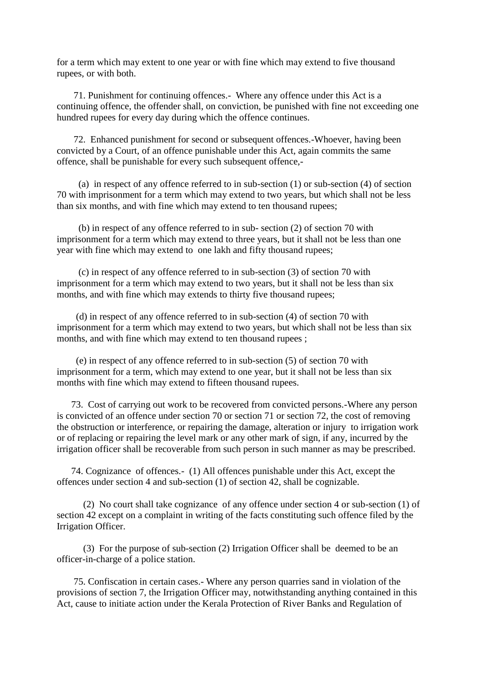for a term which may extent to one year or with fine which may extend to five thousand rupees, or with both.

 71. Punishment for continuing offences.- Where any offence under this Act is a continuing offence, the offender shall, on conviction, be punished with fine not exceeding one hundred rupees for every day during which the offence continues.

 72. Enhanced punishment for second or subsequent offences.-Whoever, having been convicted by a Court, of an offence punishable under this Act, again commits the same offence, shall be punishable for every such subsequent offence,-

 (a) in respect of any offence referred to in sub-section (1) or sub-section (4) of section 70 with imprisonment for a term which may extend to two years, but which shall not be less than six months, and with fine which may extend to ten thousand rupees;

 (b) in respect of any offence referred to in sub- section (2) of section 70 with imprisonment for a term which may extend to three years, but it shall not be less than one year with fine which may extend to one lakh and fifty thousand rupees;

 (c) in respect of any offence referred to in sub-section (3) of section 70 with imprisonment for a term which may extend to two years, but it shall not be less than six months, and with fine which may extends to thirty five thousand rupees;

 (d) in respect of any offence referred to in sub-section (4) of section 70 with imprisonment for a term which may extend to two years, but which shall not be less than six months, and with fine which may extend to ten thousand rupees ;

 (e) in respect of any offence referred to in sub-section (5) of section 70 with imprisonment for a term, which may extend to one year, but it shall not be less than six months with fine which may extend to fifteen thousand rupees.

 73. Cost of carrying out work to be recovered from convicted persons.-Where any person is convicted of an offence under section 70 or section 71 or section 72, the cost of removing the obstruction or interference, or repairing the damage, alteration or injury to irrigation work or of replacing or repairing the level mark or any other mark of sign, if any, incurred by the irrigation officer shall be recoverable from such person in such manner as may be prescribed.

 74. Cognizance of offences.- (1) All offences punishable under this Act, except the offences under section 4 and sub-section (1) of section 42, shall be cognizable.

 (2) No court shall take cognizance of any offence under section 4 or sub-section (1) of section 42 except on a complaint in writing of the facts constituting such offence filed by the Irrigation Officer.

 (3) For the purpose of sub-section (2) Irrigation Officer shall be deemed to be an officer-in-charge of a police station.

 75. Confiscation in certain cases.- Where any person quarries sand in violation of the provisions of section 7, the Irrigation Officer may, notwithstanding anything contained in this Act, cause to initiate action under the Kerala Protection of River Banks and Regulation of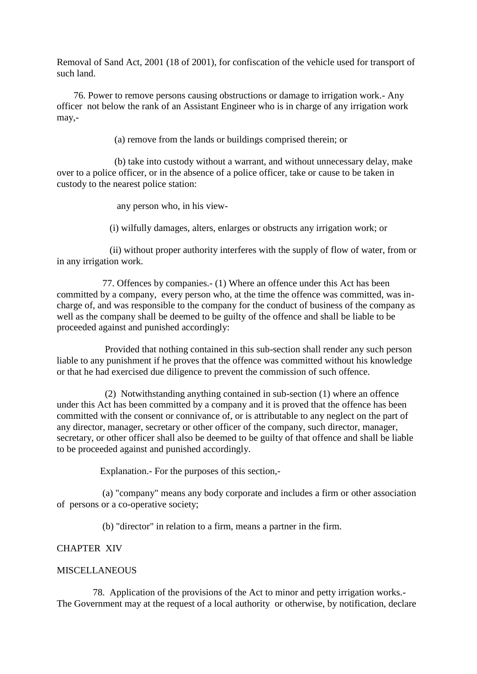Removal of Sand Act, 2001 (18 of 2001), for confiscation of the vehicle used for transport of such land.

 76. Power to remove persons causing obstructions or damage to irrigation work.- Any officer not below the rank of an Assistant Engineer who is in charge of any irrigation work may,-

(a) remove from the lands or buildings comprised therein; or

 (b) take into custody without a warrant, and without unnecessary delay, make over to a police officer, or in the absence of a police officer, take or cause to be taken in custody to the nearest police station:

any person who, in his view-

(i) wilfully damages, alters, enlarges or obstructs any irrigation work; or

 (ii) without proper authority interferes with the supply of flow of water, from or in any irrigation work.

 77. Offences by companies.- (1) Where an offence under this Act has been committed by a company, every person who, at the time the offence was committed, was incharge of, and was responsible to the company for the conduct of business of the company as well as the company shall be deemed to be guilty of the offence and shall be liable to be proceeded against and punished accordingly:

 Provided that nothing contained in this sub-section shall render any such person liable to any punishment if he proves that the offence was committed without his knowledge or that he had exercised due diligence to prevent the commission of such offence.

 (2) Notwithstanding anything contained in sub-section (1) where an offence under this Act has been committed by a company and it is proved that the offence has been committed with the consent or connivance of, or is attributable to any neglect on the part of any director, manager, secretary or other officer of the company, such director, manager, secretary, or other officer shall also be deemed to be guilty of that offence and shall be liable to be proceeded against and punished accordingly.

Explanation.- For the purposes of this section,-

 (a) "company" means any body corporate and includes a firm or other association of persons or a co-operative society;

(b) "director" in relation to a firm, means a partner in the firm.

# CHAPTER XIV

## MISCELLANEOUS

 78. Application of the provisions of the Act to minor and petty irrigation works.- The Government may at the request of a local authority or otherwise, by notification, declare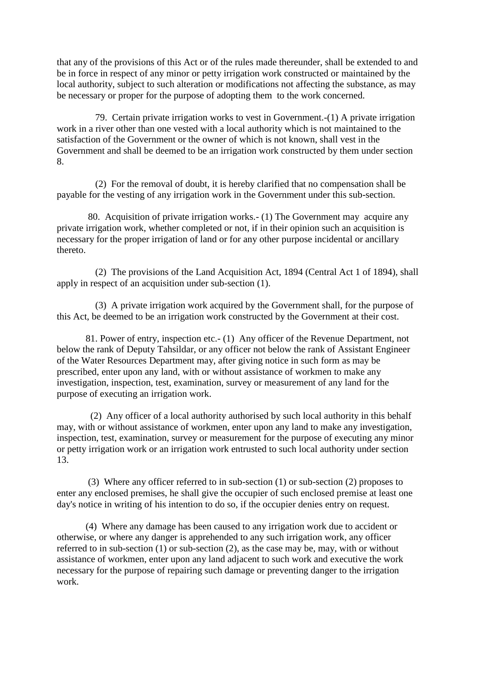that any of the provisions of this Act or of the rules made thereunder, shall be extended to and be in force in respect of any minor or petty irrigation work constructed or maintained by the local authority, subject to such alteration or modifications not affecting the substance, as may be necessary or proper for the purpose of adopting them to the work concerned.

 79. Certain private irrigation works to vest in Government.-(1) A private irrigation work in a river other than one vested with a local authority which is not maintained to the satisfaction of the Government or the owner of which is not known, shall vest in the Government and shall be deemed to be an irrigation work constructed by them under section 8.

 (2) For the removal of doubt, it is hereby clarified that no compensation shall be payable for the vesting of any irrigation work in the Government under this sub-section.

 80. Acquisition of private irrigation works.- (1) The Government may acquire any private irrigation work, whether completed or not, if in their opinion such an acquisition is necessary for the proper irrigation of land or for any other purpose incidental or ancillary thereto.

 (2) The provisions of the Land Acquisition Act, 1894 (Central Act 1 of 1894), shall apply in respect of an acquisition under sub-section (1).

 (3) A private irrigation work acquired by the Government shall, for the purpose of this Act, be deemed to be an irrigation work constructed by the Government at their cost.

 81. Power of entry, inspection etc.- (1) Any officer of the Revenue Department, not below the rank of Deputy Tahsildar, or any officer not below the rank of Assistant Engineer of the Water Resources Department may, after giving notice in such form as may be prescribed, enter upon any land, with or without assistance of workmen to make any investigation, inspection, test, examination, survey or measurement of any land for the purpose of executing an irrigation work.

 (2) Any officer of a local authority authorised by such local authority in this behalf may, with or without assistance of workmen, enter upon any land to make any investigation, inspection, test, examination, survey or measurement for the purpose of executing any minor or petty irrigation work or an irrigation work entrusted to such local authority under section 13.

 (3) Where any officer referred to in sub-section (1) or sub-section (2) proposes to enter any enclosed premises, he shall give the occupier of such enclosed premise at least one day's notice in writing of his intention to do so, if the occupier denies entry on request.

 (4) Where any damage has been caused to any irrigation work due to accident or otherwise, or where any danger is apprehended to any such irrigation work, any officer referred to in sub-section (1) or sub-section (2), as the case may be, may, with or without assistance of workmen, enter upon any land adjacent to such work and executive the work necessary for the purpose of repairing such damage or preventing danger to the irrigation work.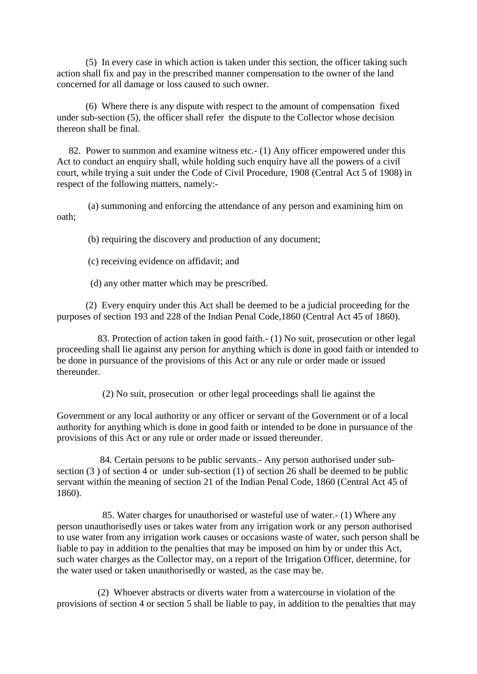(5) In every case in which action is taken under this section, the officer taking such action shall fix and pay in the prescribed manner compensation to the owner of the land concerned for all damage or loss caused to such owner.

 (6) Where there is any dispute with respect to the amount of compensation fixed under sub-section (5), the officer shall refer the dispute to the Collector whose decision thereon shall be final.

 82. Power to summon and examine witness etc.- (1) Any officer empowered under this Act to conduct an enquiry shall, while holding such enquiry have all the powers of a civil court, while trying a suit under the Code of Civil Procedure, 1908 (Central Act 5 of 1908) in respect of the following matters, namely:-

 (a) summoning and enforcing the attendance of any person and examining him on oath;

(b) requiring the discovery and production of any document;

(c) receiving evidence on affidavit; and

(d) any other matter which may be prescribed.

 (2) Every enquiry under this Act shall be deemed to be a judicial proceeding for the purposes of section 193 and 228 of the Indian Penal Code,1860 (Central Act 45 of 1860).

 83. Protection of action taken in good faith.- (1) No suit, prosecution or other legal proceeding shall lie against any person for anything which is done in good faith or intended to be done in pursuance of the provisions of this Act or any rule or order made or issued thereunder.

(2) No suit, prosecution or other legal proceedings shall lie against the

Government or any local authority or any officer or servant of the Government or of a local authority for anything which is done in good faith or intended to be done in pursuance of the provisions of this Act or any rule or order made or issued thereunder.

 84. Certain persons to be public servants.- Any person authorised under subsection (3 ) of section 4 or under sub-section (1) of section 26 shall be deemed to be public servant within the meaning of section 21 of the Indian Penal Code, 1860 (Central Act 45 of 1860).

 85. Water charges for unauthorised or wasteful use of water.- (1) Where any person unauthorisedly uses or takes water from any irrigation work or any person authorised to use water from any irrigation work causes or occasions waste of water, such person shall be liable to pay in addition to the penalties that may be imposed on him by or under this Act, such water charges as the Collector may, on a report of the Irrigation Officer, determine, for the water used or taken unauthorisedly or wasted, as the case may be.

 (2) Whoever abstracts or diverts water from a watercourse in violation of the provisions of section 4 or section 5 shall be liable to pay, in addition to the penalties that may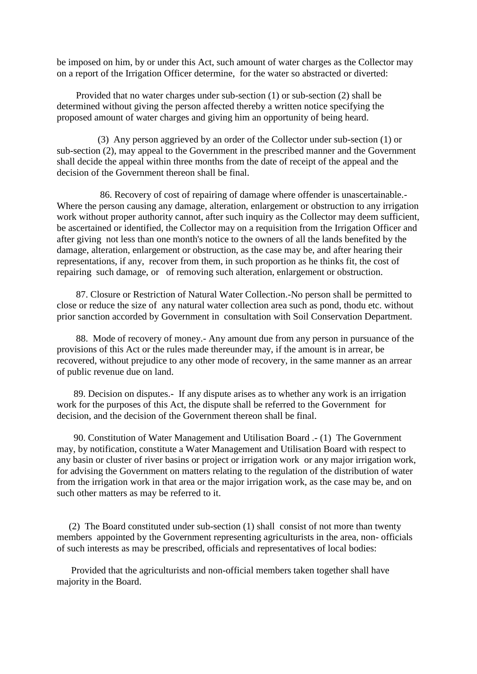be imposed on him, by or under this Act, such amount of water charges as the Collector may on a report of the Irrigation Officer determine, for the water so abstracted or diverted:

 Provided that no water charges under sub-section (1) or sub-section (2) shall be determined without giving the person affected thereby a written notice specifying the proposed amount of water charges and giving him an opportunity of being heard.

 (3) Any person aggrieved by an order of the Collector under sub-section (1) or sub-section (2), may appeal to the Government in the prescribed manner and the Government shall decide the appeal within three months from the date of receipt of the appeal and the decision of the Government thereon shall be final.

 86. Recovery of cost of repairing of damage where offender is unascertainable.- Where the person causing any damage, alteration, enlargement or obstruction to any irrigation work without proper authority cannot, after such inquiry as the Collector may deem sufficient, be ascertained or identified, the Collector may on a requisition from the Irrigation Officer and after giving not less than one month's notice to the owners of all the lands benefited by the damage, alteration, enlargement or obstruction, as the case may be, and after hearing their representations, if any, recover from them, in such proportion as he thinks fit, the cost of repairing such damage, or of removing such alteration, enlargement or obstruction.

 87. Closure or Restriction of Natural Water Collection.-No person shall be permitted to close or reduce the size of any natural water collection area such as pond, thodu etc. without prior sanction accorded by Government in consultation with Soil Conservation Department.

 88. Mode of recovery of money.- Any amount due from any person in pursuance of the provisions of this Act or the rules made thereunder may, if the amount is in arrear, be recovered, without prejudice to any other mode of recovery, in the same manner as an arrear of public revenue due on land.

 89. Decision on disputes.- If any dispute arises as to whether any work is an irrigation work for the purposes of this Act, the dispute shall be referred to the Government for decision, and the decision of the Government thereon shall be final.

 90. Constitution of Water Management and Utilisation Board .- (1) The Government may, by notification, constitute a Water Management and Utilisation Board with respect to any basin or cluster of river basins or project or irrigation work or any major irrigation work, for advising the Government on matters relating to the regulation of the distribution of water from the irrigation work in that area or the major irrigation work, as the case may be, and on such other matters as may be referred to it.

 (2) The Board constituted under sub-section (1) shall consist of not more than twenty members appointed by the Government representing agriculturists in the area, non- officials of such interests as may be prescribed, officials and representatives of local bodies:

 Provided that the agriculturists and non-official members taken together shall have majority in the Board.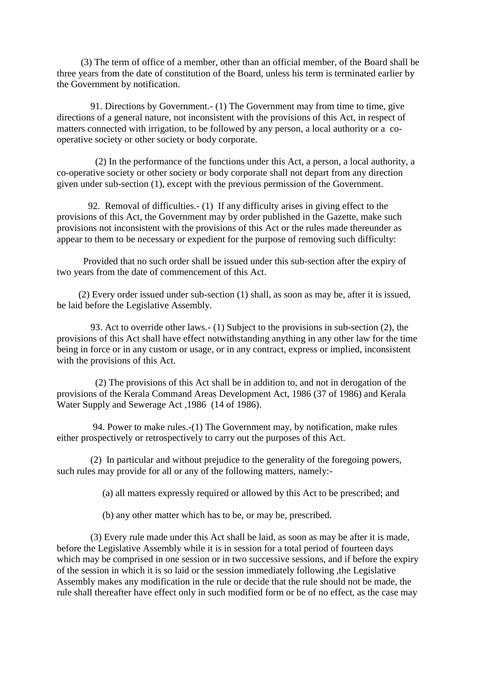(3) The term of office of a member, other than an official member, of the Board shall be three years from the date of constitution of the Board, unless his term is terminated earlier by the Government by notification.

 91. Directions by Government.- (1) The Government may from time to time, give directions of a general nature, not inconsistent with the provisions of this Act, in respect of matters connected with irrigation, to be followed by any person, a local authority or a cooperative society or other society or body corporate.

 (2) In the performance of the functions under this Act, a person, a local authority, a co-operative society or other society or body corporate shall not depart from any direction given under sub-section (1), except with the previous permission of the Government.

 92. Removal of difficulties.- (1) If any difficulty arises in giving effect to the provisions of this Act, the Government may by order published in the Gazette, make such provisions not inconsistent with the provisions of this Act or the rules made thereunder as appear to them to be necessary or expedient for the purpose of removing such difficulty:

 Provided that no such order shall be issued under this sub-section after the expiry of two years from the date of commencement of this Act.

 (2) Every order issued under sub-section (1) shall, as soon as may be, after it is issued, be laid before the Legislative Assembly.

 93. Act to override other laws.- (1) Subject to the provisions in sub-section (2), the provisions of this Act shall have effect notwithstanding anything in any other law for the time being in force or in any custom or usage, or in any contract, express or implied, inconsistent with the provisions of this Act.

 (2) The provisions of this Act shall be in addition to, and not in derogation of the provisions of the Kerala Command Areas Development Act, 1986 (37 of 1986) and Kerala Water Supply and Sewerage Act ,1986 (14 of 1986).

 94. Power to make rules.-(1) The Government may, by notification, make rules either prospectively or retrospectively to carry out the purposes of this Act.

 (2) In particular and without prejudice to the generality of the foregoing powers, such rules may provide for all or any of the following matters, namely:-

(a) all matters expressly required or allowed by this Act to be prescribed; and

(b) any other matter which has to be, or may be, prescribed.

 (3) Every rule made under this Act shall be laid, as soon as may be after it is made, before the Legislative Assembly while it is in session for a total period of fourteen days which may be comprised in one session or in two successive sessions, and if before the expiry of the session in which it is so laid or the session immediately following ,the Legislative Assembly makes any modification in the rule or decide that the rule should not be made, the rule shall thereafter have effect only in such modified form or be of no effect, as the case may